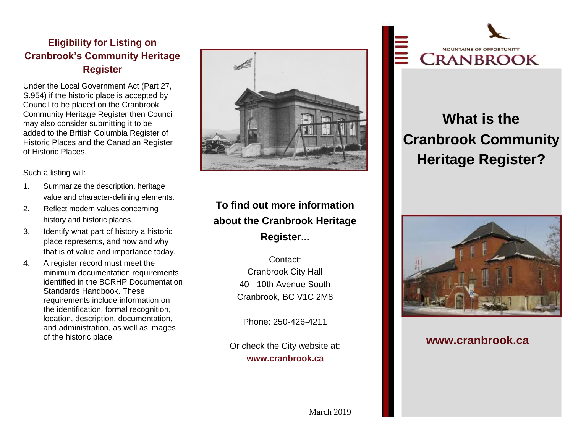### **Eligibility for Listing on Cranbrook's Community Heritage Register**

Under the Local Government Act (Part 27, S.954) if the historic place is accepted by Council to be placed on the Cranbrook Community Heritage Register then Council may also consider submitting it to be added to the British Columbia Register of Historic Places and the Canadian Register of Historic Places.

Such a listing will:

- 1. Summarize the description, heritage value and character-defining elements.
- 2. Reflect modern values concerning history and historic places.
- 3. Identify what part of history a historic place represents, and how and why that is of value and importance today.
- 4. A register record must meet the minimum documentation requirements identified in the BCRHP Documentation Standards Handbook. These requirements include information on the identification, formal recognition, location, description, documentation, and administration, as well as images of the historic place.



# **To find out more information about the Cranbrook Heritage Register...**

Contact: Cranbrook City Hall 40 - 10th Avenue South Cranbrook, BC V1C 2M8

Phone: 250-426-4211

Or check the City website at: **www.cranbrook.ca**



# **What is the Cranbrook Community Heritage Register?**



**www.cranbrook.ca**